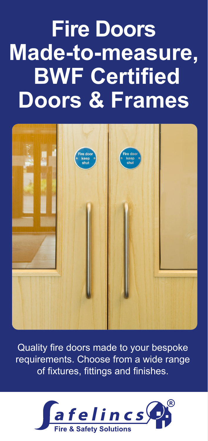# **Fire Doors Made-to-measure, BWF Certified Doors & Frames**



Quality fire doors made to your bespoke requirements. Choose from a wide range of fixtures, fittings and finishes.

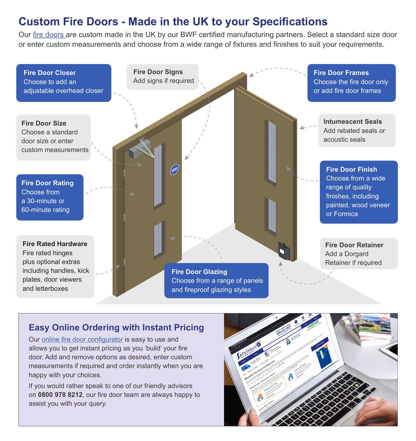## **Custom Fire Doors - Made in the UK to your Specifications**

Our [fire doors a](https://www.safelincs.co.uk/30-and-60-minute-fire-doors-fd30-fd60/)re custom made in the UK by our BWF certified manufacturing partners. Select a standard size door or enter custom measurements and choose from a wide range of fixtures and finishes to suit your requirements.



### **Easy Online Ordering with Instant Pricing**

Our [online fire door configurator](https://www.safelincs.co.uk/custom-30-and-60-minute-fire-doors-fd30-fd60/) is easy to use and allows you to get instant pricing as you 'build' your fire door. Add and remove options as desired, enter custom measurements if required and order instantly when you are happy with your choices.

If you would rather speak to one of our friendly advisors on **0800 978 8212**, our fire door team are always happy to assist you with your query.

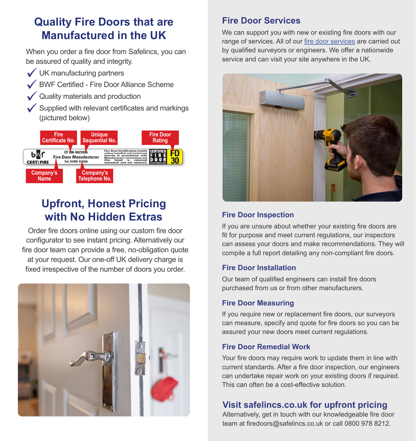# **Quality Fire Doors that are Manufactured in the UK**

When you order a fire door from Safelincs, you can be assured of quality and integrity.

- UK manufacturing partners
- BWF Certified Fire Door Alliance Scheme
- Quality materials and production
- Supplied with relevant certificates and markings (pictured below)



# **Upfront, Honest Pricing with No Hidden Extras**

Order fire doors online using our custom fire door configurator to see instant pricing. Alternatively our fire door team can provide a free, no-obligation quote at your request. Our one-off UK delivery charge is fixed irrespective of the number of doors you order.



## **Fire Door Services**

We can support you with new or existing fire doors with our range of services. All of our [fire door services](https://www.safelincs.co.uk/fire-door-services/) are carried out by qualified surveyors or engineers. We offer a nationwide service and can visit your site anywhere in the UK.



#### **Fire Door Inspection**

If you are unsure about whether your existing fire doors are fit for purpose and meet current regulations, our inspectors can assess your doors and make recommendations. They will compile a full report detailing any non-compliant fire doors.

#### **Fire Door Installation**

Our team of qualified engineers can install fire doors purchased from us or from other manufacturers.

#### **Fire Door Measuring**

If you require new or replacement fire doors, our surveyors can measure, specify and quote for fire doors so you can be assured your new doors meet current regulations.

#### **Fire Door Remedial Work**

Your fire doors may require work to update them in line with current standards. After a fire door inspection, our engineers can undertake repair work on your existing doors if required. This can often be a cost-effective solution.

## **Visit safelincs.co.uk for upfront pricing**

Alternatively, get in touch with our knowledgeable fire door team at firedoors@safelincs.co.uk or call 0800 978 8212.